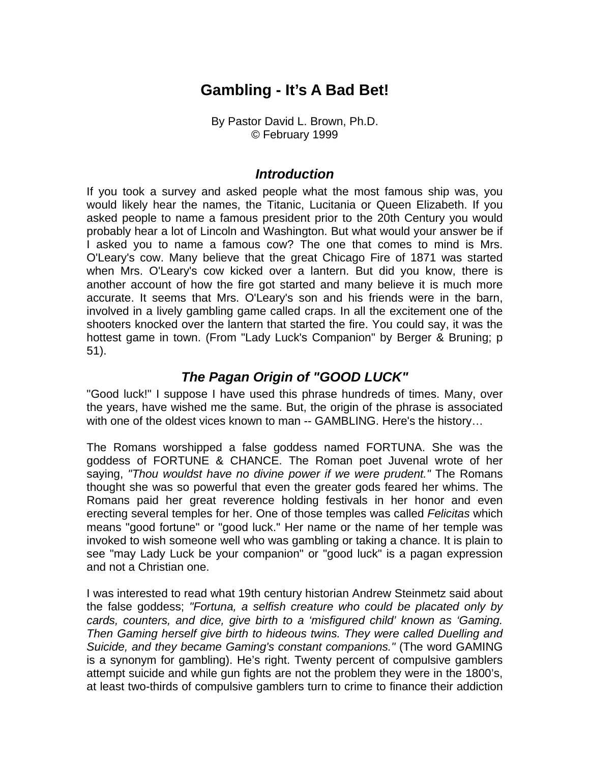# **Gambling - It's A Bad Bet!**

By Pastor David L. Brown, Ph.D. © February 1999

#### *Introduction*

If you took a survey and asked people what the most famous ship was, you would likely hear the names, the Titanic, Lucitania or Queen Elizabeth. If you asked people to name a famous president prior to the 20th Century you would probably hear a lot of Lincoln and Washington. But what would your answer be if I asked you to name a famous cow? The one that comes to mind is Mrs. O'Leary's cow. Many believe that the great Chicago Fire of 1871 was started when Mrs. O'Leary's cow kicked over a lantern. But did you know, there is another account of how the fire got started and many believe it is much more accurate. It seems that Mrs. O'Leary's son and his friends were in the barn, involved in a lively gambling game called craps. In all the excitement one of the shooters knocked over the lantern that started the fire. You could say, it was the hottest game in town. (From "Lady Luck's Companion" by Berger & Bruning; p 51).

## *The Pagan Origin of "GOOD LUCK"*

"Good luck!" I suppose I have used this phrase hundreds of times. Many, over the years, have wished me the same. But, the origin of the phrase is associated with one of the oldest vices known to man -- GAMBLING. Here's the history…

The Romans worshipped a false goddess named FORTUNA. She was the goddess of FORTUNE & CHANCE. The Roman poet Juvenal wrote of her saying, *"Thou wouldst have no divine power if we were prudent."* The Romans thought she was so powerful that even the greater gods feared her whims. The Romans paid her great reverence holding festivals in her honor and even erecting several temples for her. One of those temples was called *Felicitas* which means "good fortune" or "good luck." Her name or the name of her temple was invoked to wish someone well who was gambling or taking a chance. It is plain to see "may Lady Luck be your companion" or "good luck" is a pagan expression and not a Christian one.

I was interested to read what 19th century historian Andrew Steinmetz said about the false goddess; *"Fortuna, a selfish creature who could be placated only by cards, counters, and dice, give birth to a 'misfigured child' known as 'Gaming. Then Gaming herself give birth to hideous twins. They were called Duelling and Suicide, and they became Gaming's constant companions."* (The word GAMING is a synonym for gambling). He's right. Twenty percent of compulsive gamblers attempt suicide and while gun fights are not the problem they were in the 1800's, at least two-thirds of compulsive gamblers turn to crime to finance their addiction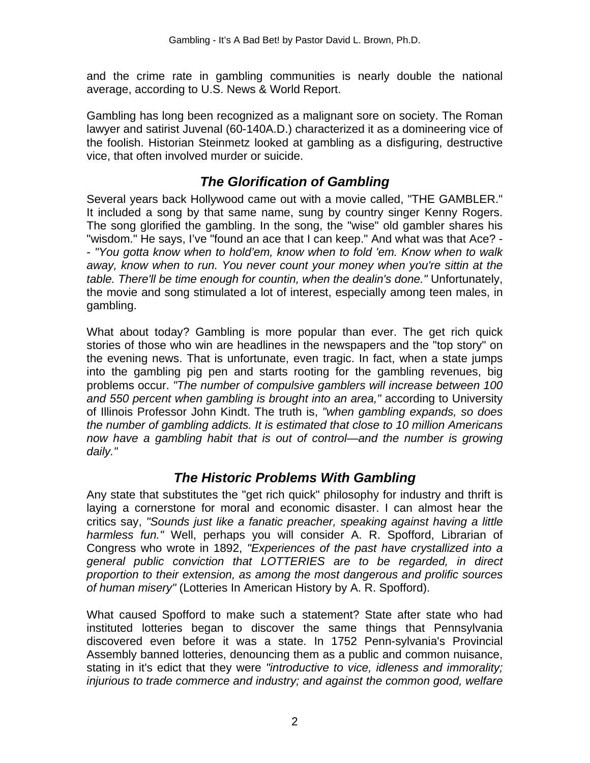and the crime rate in gambling communities is nearly double the national average, according to U.S. News & World Report.

Gambling has long been recognized as a malignant sore on society. The Roman lawyer and satirist Juvenal (60-140A.D.) characterized it as a domineering vice of the foolish. Historian Steinmetz looked at gambling as a disfiguring, destructive vice, that often involved murder or suicide.

## *The Glorification of Gambling*

Several years back Hollywood came out with a movie called, "THE GAMBLER." It included a song by that same name, sung by country singer Kenny Rogers. The song glorified the gambling. In the song, the "wise" old gambler shares his "wisdom." He says, I've "found an ace that I can keep." And what was that Ace? - - *"You gotta know when to hold'em, know when to fold 'em. Know when to walk away, know when to run. You never count your money when you're sittin at the table. There'll be time enough for countin, when the dealin's done."* Unfortunately, the movie and song stimulated a lot of interest, especially among teen males, in gambling.

What about today? Gambling is more popular than ever. The get rich quick stories of those who win are headlines in the newspapers and the "top story" on the evening news. That is unfortunate, even tragic. In fact, when a state jumps into the gambling pig pen and starts rooting for the gambling revenues, big problems occur. *"The number of compulsive gamblers will increase between 100 and 550 percent when gambling is brought into an area,"* according to University of Illinois Professor John Kindt. The truth is, *"when gambling expands, so does the number of gambling addicts. It is estimated that close to 10 million Americans now have a gambling habit that is out of control—and the number is growing daily."*

## *The Historic Problems With Gambling*

Any state that substitutes the "get rich quick" philosophy for industry and thrift is laying a cornerstone for moral and economic disaster. I can almost hear the critics say, *"Sounds just like a fanatic preacher, speaking against having a little harmless fun."* Well, perhaps you will consider A. R. Spofford, Librarian of Congress who wrote in 1892, *"Experiences of the past have crystallized into a general public conviction that LOTTERIES are to be regarded, in direct proportion to their extension, as among the most dangerous and prolific sources of human misery"* (Lotteries In American History by A. R. Spofford).

What caused Spofford to make such a statement? State after state who had instituted lotteries began to discover the same things that Pennsylvania discovered even before it was a state. In 1752 Penn-sylvania's Provincial Assembly banned lotteries, denouncing them as a public and common nuisance, stating in it's edict that they were *"introductive to vice, idleness and immorality; injurious to trade commerce and industry; and against the common good, welfare*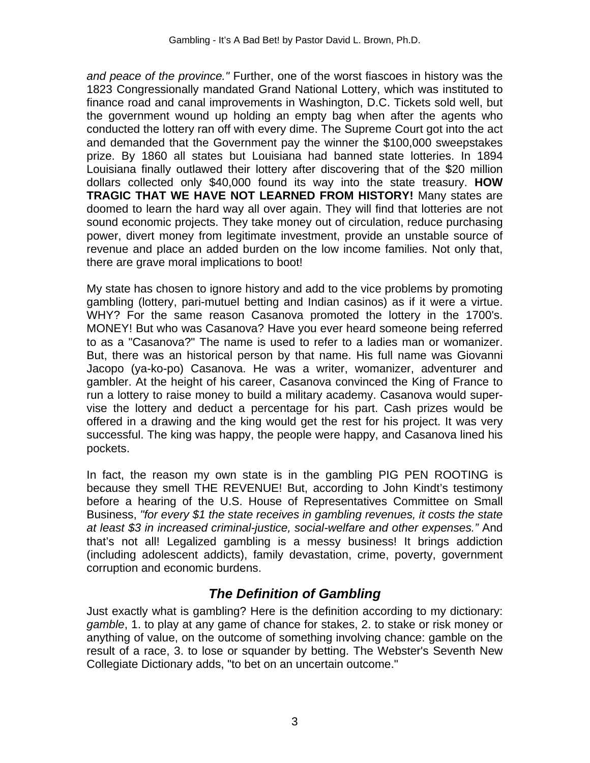*and peace of the province."* Further, one of the worst fiascoes in history was the 1823 Congressionally mandated Grand National Lottery, which was instituted to finance road and canal improvements in Washington, D.C. Tickets sold well, but the government wound up holding an empty bag when after the agents who conducted the lottery ran off with every dime. The Supreme Court got into the act and demanded that the Government pay the winner the \$100,000 sweepstakes prize. By 1860 all states but Louisiana had banned state lotteries. In 1894 Louisiana finally outlawed their lottery after discovering that of the \$20 million dollars collected only \$40,000 found its way into the state treasury. **HOW TRAGIC THAT WE HAVE NOT LEARNED FROM HISTORY!** Many states are doomed to learn the hard way all over again. They will find that lotteries are not sound economic projects. They take money out of circulation, reduce purchasing power, divert money from legitimate investment, provide an unstable source of revenue and place an added burden on the low income families. Not only that, there are grave moral implications to boot!

My state has chosen to ignore history and add to the vice problems by promoting gambling (lottery, pari-mutuel betting and Indian casinos) as if it were a virtue. WHY? For the same reason Casanova promoted the lottery in the 1700's. MONEY! But who was Casanova? Have you ever heard someone being referred to as a "Casanova?" The name is used to refer to a ladies man or womanizer. But, there was an historical person by that name. His full name was Giovanni Jacopo (ya-ko-po) Casanova. He was a writer, womanizer, adventurer and gambler. At the height of his career, Casanova convinced the King of France to run a lottery to raise money to build a military academy. Casanova would supervise the lottery and deduct a percentage for his part. Cash prizes would be offered in a drawing and the king would get the rest for his project. It was very successful. The king was happy, the people were happy, and Casanova lined his pockets.

In fact, the reason my own state is in the gambling PIG PEN ROOTING is because they smell THE REVENUE! But, according to John Kindt's testimony before a hearing of the U.S. House of Representatives Committee on Small Business, *"for every \$1 the state receives in gambling revenues, it costs the state at least \$3 in increased criminal-justice, social-welfare and other expenses."* And that's not all! Legalized gambling is a messy business! It brings addiction (including adolescent addicts), family devastation, crime, poverty, government corruption and economic burdens.

## *The Definition of Gambling*

Just exactly what is gambling? Here is the definition according to my dictionary: *gamble*, 1. to play at any game of chance for stakes, 2. to stake or risk money or anything of value, on the outcome of something involving chance: gamble on the result of a race, 3. to lose or squander by betting. The Webster's Seventh New Collegiate Dictionary adds, "to bet on an uncertain outcome."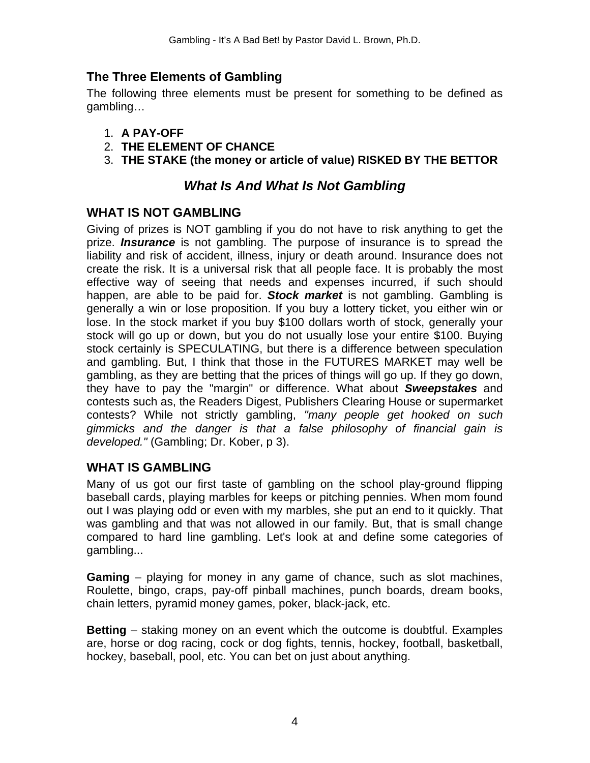## **The Three Elements of Gambling**

The following three elements must be present for something to be defined as gambling…

- 1. **A PAY-OFF**
- 2. **THE ELEMENT OF CHANCE**
- 3. **THE STAKE (the money or article of value) RISKED BY THE BETTOR**

### *What Is And What Is Not Gambling*

#### **WHAT IS NOT GAMBLING**

Giving of prizes is NOT gambling if you do not have to risk anything to get the prize. *Insurance* is not gambling. The purpose of insurance is to spread the liability and risk of accident, illness, injury or death around. Insurance does not create the risk. It is a universal risk that all people face. It is probably the most effective way of seeing that needs and expenses incurred, if such should happen, are able to be paid for. *Stock market* is not gambling. Gambling is generally a win or lose proposition. If you buy a lottery ticket, you either win or lose. In the stock market if you buy \$100 dollars worth of stock, generally your stock will go up or down, but you do not usually lose your entire \$100. Buying stock certainly is SPECULATING, but there is a difference between speculation and gambling. But, I think that those in the FUTURES MARKET may well be gambling, as they are betting that the prices of things will go up. If they go down, they have to pay the "margin" or difference. What about *Sweepstakes* and contests such as, the Readers Digest, Publishers Clearing House or supermarket contests? While not strictly gambling, *"many people get hooked on such gimmicks and the danger is that a false philosophy of financial gain is developed."* (Gambling; Dr. Kober, p 3).

#### **WHAT IS GAMBLING**

Many of us got our first taste of gambling on the school play-ground flipping baseball cards, playing marbles for keeps or pitching pennies. When mom found out I was playing odd or even with my marbles, she put an end to it quickly. That was gambling and that was not allowed in our family. But, that is small change compared to hard line gambling. Let's look at and define some categories of gambling...

**Gaming** – playing for money in any game of chance, such as slot machines, Roulette, bingo, craps, pay-off pinball machines, punch boards, dream books, chain letters, pyramid money games, poker, black-jack, etc.

**Betting** – staking money on an event which the outcome is doubtful. Examples are, horse or dog racing, cock or dog fights, tennis, hockey, football, basketball, hockey, baseball, pool, etc. You can bet on just about anything.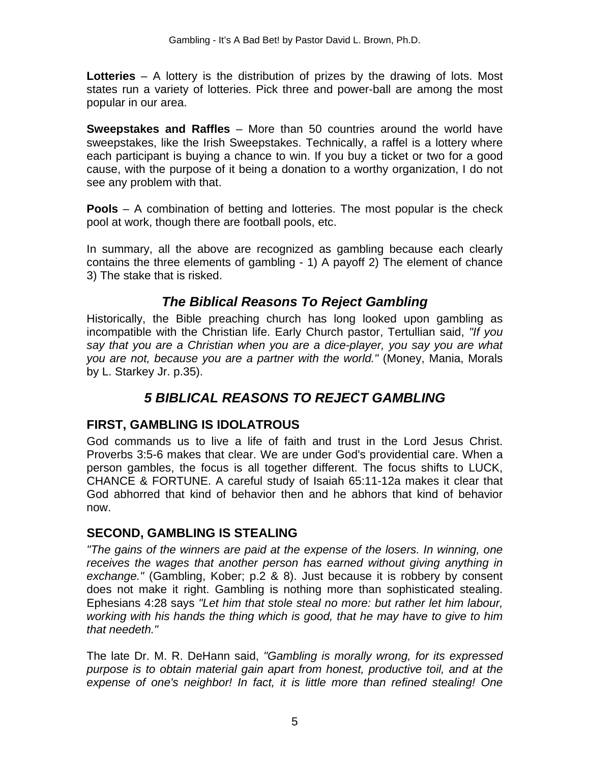**Lotteries** – A lottery is the distribution of prizes by the drawing of lots. Most states run a variety of lotteries. Pick three and power-ball are among the most popular in our area.

**Sweepstakes and Raffles** – More than 50 countries around the world have sweepstakes, like the Irish Sweepstakes. Technically, a raffel is a lottery where each participant is buying a chance to win. If you buy a ticket or two for a good cause, with the purpose of it being a donation to a worthy organization, I do not see any problem with that.

**Pools** – A combination of betting and lotteries. The most popular is the check pool at work, though there are football pools, etc.

In summary, all the above are recognized as gambling because each clearly contains the three elements of gambling - 1) A payoff 2) The element of chance 3) The stake that is risked.

## *The Biblical Reasons To Reject Gambling*

Historically, the Bible preaching church has long looked upon gambling as incompatible with the Christian life. Early Church pastor, Tertullian said, *"If you say that you are a Christian when you are a dice-player, you say you are what you are not, because you are a partner with the world."* (Money, Mania, Morals by L. Starkey Jr. p.35).

## *5 BIBLICAL REASONS TO REJECT GAMBLING*

## **FIRST, GAMBLING IS IDOLATROUS**

God commands us to live a life of faith and trust in the Lord Jesus Christ. Proverbs 3:5-6 makes that clear. We are under God's providential care. When a person gambles, the focus is all together different. The focus shifts to LUCK, CHANCE & FORTUNE. A careful study of Isaiah 65:11-12a makes it clear that God abhorred that kind of behavior then and he abhors that kind of behavior now.

## **SECOND, GAMBLING IS STEALING**

*"The gains of the winners are paid at the expense of the losers. In winning, one receives the wages that another person has earned without giving anything in exchange."* (Gambling, Kober; p.2 & 8). Just because it is robbery by consent does not make it right. Gambling is nothing more than sophisticated stealing. Ephesians 4:28 says *"Let him that stole steal no more: but rather let him labour, working with his hands the thing which is good, that he may have to give to him that needeth."* 

The late Dr. M. R. DeHann said, *"Gambling is morally wrong, for its expressed purpose is to obtain material gain apart from honest, productive toil, and at the expense of one's neighbor! In fact, it is little more than refined stealing! One*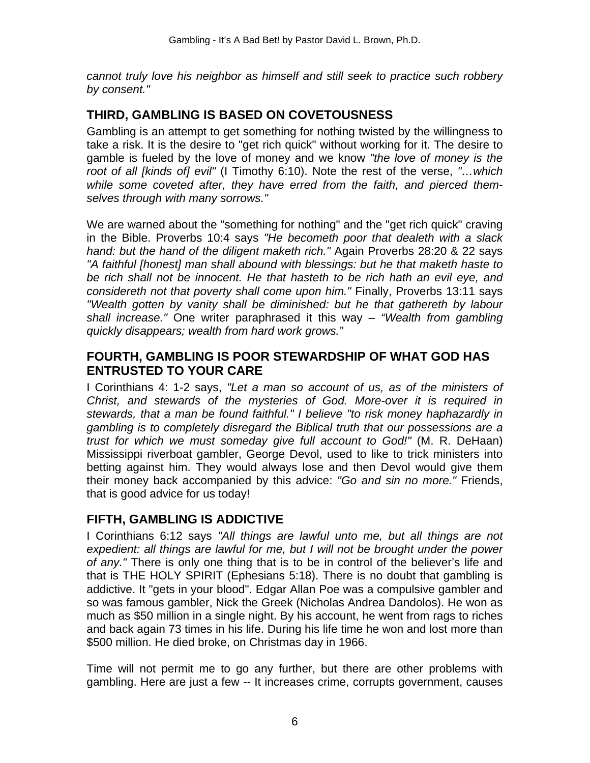*cannot truly love his neighbor as himself and still seek to practice such robbery by consent."* 

## **THIRD, GAMBLING IS BASED ON COVETOUSNESS**

Gambling is an attempt to get something for nothing twisted by the willingness to take a risk. It is the desire to "get rich quick" without working for it. The desire to gamble is fueled by the love of money and we know *"the love of money is the root of all [kinds of] evil"* (I Timothy 6:10). Note the rest of the verse, *"…which while some coveted after, they have erred from the faith, and pierced themselves through with many sorrows."* 

We are warned about the "something for nothing" and the "get rich quick" craving in the Bible. Proverbs 10:4 says *"He becometh poor that dealeth with a slack hand: but the hand of the diligent maketh rich."* Again Proverbs 28:20 & 22 says *"A faithful [honest] man shall abound with blessings: but he that maketh haste to be rich shall not be innocent. He that hasteth to be rich hath an evil eye, and considereth not that poverty shall come upon him."* Finally, Proverbs 13:11 says *"Wealth gotten by vanity shall be diminished: but he that gathereth by labour shall increase."* One writer paraphrased it this way – *"Wealth from gambling quickly disappears; wealth from hard work grows."*

#### **FOURTH, GAMBLING IS POOR STEWARDSHIP OF WHAT GOD HAS ENTRUSTED TO YOUR CARE**

I Corinthians 4: 1-2 says, *"Let a man so account of us, as of the ministers of Christ, and stewards of the mysteries of God. More-over it is required in stewards, that a man be found faithful." I believe "to risk money haphazardly in gambling is to completely disregard the Biblical truth that our possessions are a trust for which we must someday give full account to God!"* (M. R. DeHaan) Mississippi riverboat gambler, George Devol, used to like to trick ministers into betting against him. They would always lose and then Devol would give them their money back accompanied by this advice: *"Go and sin no more."* Friends, that is good advice for us today!

#### **FIFTH, GAMBLING IS ADDICTIVE**

I Corinthians 6:12 says *"All things are lawful unto me, but all things are not expedient: all things are lawful for me, but I will not be brought under the power of any."* There is only one thing that is to be in control of the believer's life and that is THE HOLY SPIRIT (Ephesians 5:18). There is no doubt that gambling is addictive. It "gets in your blood". Edgar Allan Poe was a compulsive gambler and so was famous gambler, Nick the Greek (Nicholas Andrea Dandolos). He won as much as \$50 million in a single night. By his account, he went from rags to riches and back again 73 times in his life. During his life time he won and lost more than \$500 million. He died broke, on Christmas day in 1966.

Time will not permit me to go any further, but there are other problems with gambling. Here are just a few -- It increases crime, corrupts government, causes